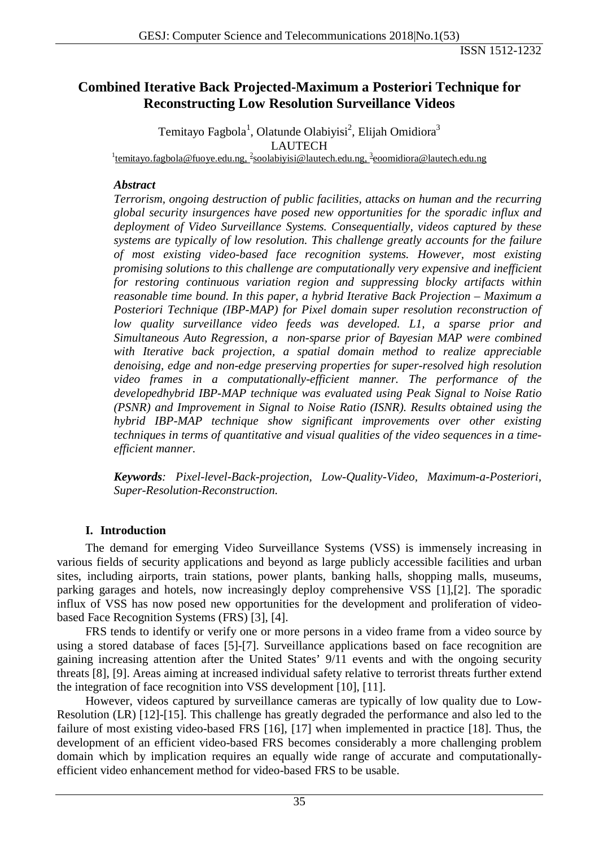## **Combined Iterative Back Projected-Maximum a Posteriori Technique for Reconstructing Low Resolution Surveillance Videos**

Temitayo Fagbola<sup>1</sup>, Olatunde Olabiyisi<sup>2</sup>, Elijah Omidiora<sup>3</sup> LAUTECH<br><sup>1</sup>[temitayo.fagbola@fuoye.edu.ng,](mailto:temitayo.fagbola@fuoye.edu.ng?subject=for_Temitayo_Fagbola_ID_3591) <sup>2</sup>[soolabiyisi@lautech.edu.ng,](mailto:soolabiyisi@lautech.edu.ng?subject=for_Olatunde_Olabiyisi_ID_3592) <sup>3</sup>[eoomidiora@lautech.edu.ng](mailto:eoomidiora@lautech.edu.ng?subject=for_Elijah_Omidiora_ID_3593)

### *Abstract*

*Terrorism, ongoing destruction of public facilities, attacks on human and the recurring global security insurgences have posed new opportunities for the sporadic influx and deployment of Video Surveillance Systems. Consequentially, videos captured by these systems are typically of low resolution. This challenge greatly accounts for the failure of most existing video-based face recognition systems. However, most existing promising solutions to this challenge are computationally very expensive and inefficient for restoring continuous variation region and suppressing blocky artifacts within reasonable time bound. In this paper, a hybrid Iterative Back Projection – Maximum a Posteriori Technique (IBP-MAP) for Pixel domain super resolution reconstruction of low quality surveillance video feeds was developed. L1, a sparse prior and Simultaneous Auto Regression, a non-sparse prior of Bayesian MAP were combined with Iterative back projection, a spatial domain method to realize appreciable denoising, edge and non-edge preserving properties for super-resolved high resolution video frames in a computationally-efficient manner. The performance of the developedhybrid IBP-MAP technique was evaluated using Peak Signal to Noise Ratio (PSNR) and Improvement in Signal to Noise Ratio (ISNR). Results obtained using the hybrid IBP-MAP technique show significant improvements over other existing techniques in terms of quantitative and visual qualities of the video sequences in a timeefficient manner.*

*Keywords: Pixel-level-Back-projection, Low-Quality-Video, Maximum-a-Posteriori, Super-Resolution-Reconstruction.*

## **I. Introduction**

The demand for emerging Video Surveillance Systems (VSS) is immensely increasing in various fields of security applications and beyond as large publicly accessible facilities and urban sites, including airports, train stations, power plants, banking halls, shopping malls, museums, parking garages and hotels, now increasingly deploy comprehensive VSS [1],[2]. The sporadic influx of VSS has now posed new opportunities for the development and proliferation of videobased Face Recognition Systems (FRS) [3], [4].

FRS tends to identify or verify one or more persons in a video frame from a video source by using a stored database of faces [5]-[7]. Surveillance applications based on face recognition are gaining increasing attention after the United States' 9/11 events and with the ongoing security threats [8], [9]. Areas aiming at increased individual safety relative to terrorist threats further extend the integration of face recognition into VSS development [10], [11].

However, videos captured by surveillance cameras are typically of low quality due to Low-Resolution (LR) [12]-[15]. This challenge has greatly degraded the performance and also led to the failure of most existing video-based FRS [16], [17] when implemented in practice [18]. Thus, the development of an efficient video-based FRS becomes considerably a more challenging problem domain which by implication requires an equally wide range of accurate and computationallyefficient video enhancement method for video-based FRS to be usable.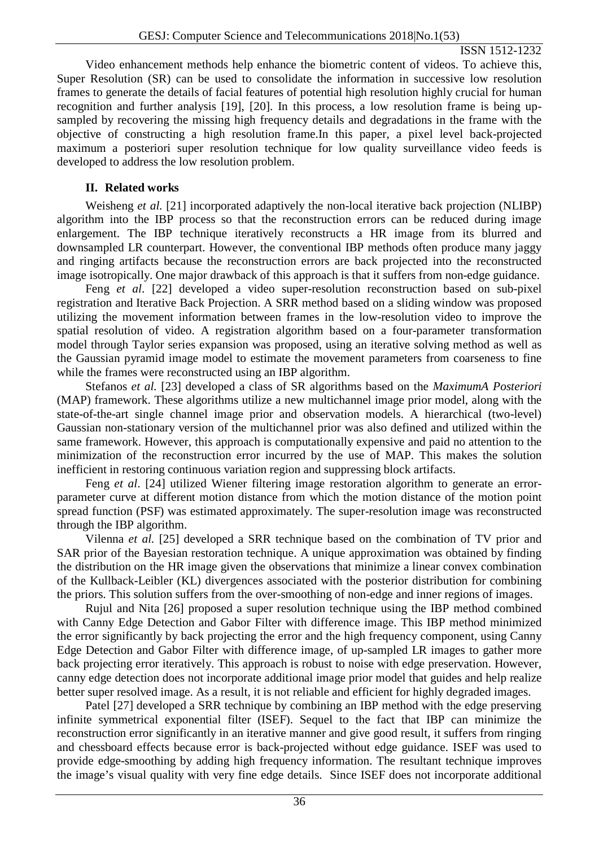Video enhancement methods help enhance the biometric content of videos. To achieve this, Super Resolution (SR) can be used to consolidate the information in successive low resolution frames to generate the details of facial features of potential high resolution highly crucial for human recognition and further analysis [19], [20]. In this process, a low resolution frame is being upsampled by recovering the missing high frequency details and degradations in the frame with the objective of constructing a high resolution frame.In this paper, a pixel level back-projected maximum a posteriori super resolution technique for low quality surveillance video feeds is developed to address the low resolution problem.

## **II. Related works**

Weisheng *et al.* [21] incorporated adaptively the non-local iterative back projection (NLIBP) algorithm into the IBP process so that the reconstruction errors can be reduced during image enlargement. The IBP technique iteratively reconstructs a HR image from its blurred and downsampled LR counterpart. However, the conventional IBP methods often produce many jaggy and ringing artifacts because the reconstruction errors are back projected into the reconstructed image isotropically. One major drawback of this approach is that it suffers from non-edge guidance.

Feng *et al*. [22] developed a video super-resolution reconstruction based on sub-pixel registration and Iterative Back Projection. A SRR method based on a sliding window was proposed utilizing the movement information between frames in the low-resolution video to improve the spatial resolution of video. A registration algorithm based on a four-parameter transformation model through Taylor series expansion was proposed, using an iterative solving method as well as the Gaussian pyramid image model to estimate the movement parameters from coarseness to fine while the frames were reconstructed using an IBP algorithm.

Stefanos *et al.* [23] developed a class of SR algorithms based on the *MaximumA Posteriori*  (MAP) framework. These algorithms utilize a new multichannel image prior model, along with the state-of-the-art single channel image prior and observation models. A hierarchical (two-level) Gaussian non-stationary version of the multichannel prior was also defined and utilized within the same framework. However, this approach is computationally expensive and paid no attention to the minimization of the reconstruction error incurred by the use of MAP. This makes the solution inefficient in restoring continuous variation region and suppressing block artifacts.

Feng *et al*. [24] utilized Wiener filtering image restoration algorithm to generate an errorparameter curve at different motion distance from which the motion distance of the motion point spread function (PSF) was estimated approximately. The super-resolution image was reconstructed through the IBP algorithm.

Vilenna *et al.* [25] developed a SRR technique based on the combination of TV prior and SAR prior of the Bayesian restoration technique. A unique approximation was obtained by finding the distribution on the HR image given the observations that minimize a linear convex combination of the Kullback-Leibler (KL) divergences associated with the posterior distribution for combining the priors. This solution suffers from the over-smoothing of non-edge and inner regions of images.

Rujul and Nita [26] proposed a super resolution technique using the IBP method combined with Canny Edge Detection and Gabor Filter with difference image. This IBP method minimized the error significantly by back projecting the error and the high frequency component, using Canny Edge Detection and Gabor Filter with difference image, of up-sampled LR images to gather more back projecting error iteratively. This approach is robust to noise with edge preservation. However, canny edge detection does not incorporate additional image prior model that guides and help realize better super resolved image. As a result, it is not reliable and efficient for highly degraded images.

Patel [27] developed a SRR technique by combining an IBP method with the edge preserving infinite symmetrical exponential filter (ISEF). Sequel to the fact that IBP can minimize the reconstruction error significantly in an iterative manner and give good result, it suffers from ringing and chessboard effects because error is back-projected without edge guidance. ISEF was used to provide edge-smoothing by adding high frequency information. The resultant technique improves the image's visual quality with very fine edge details. Since ISEF does not incorporate additional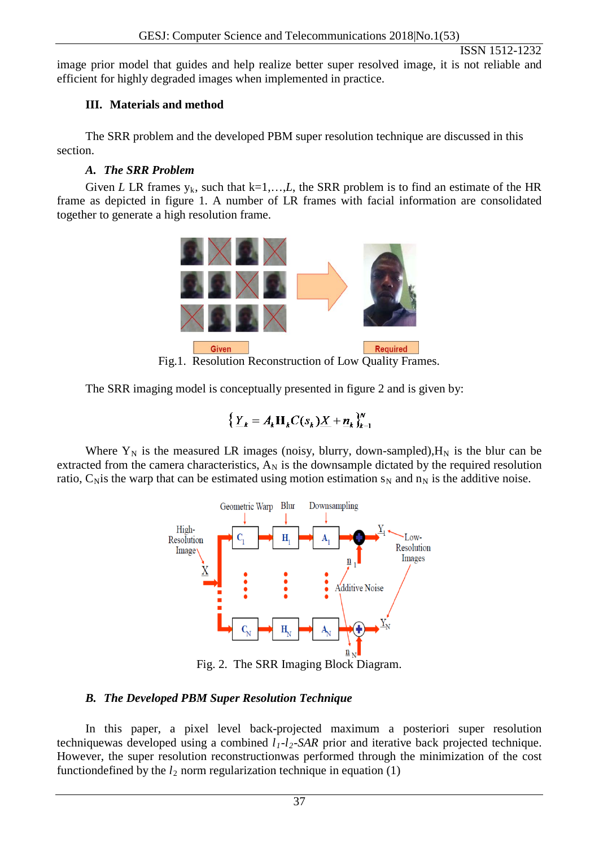image prior model that guides and help realize better super resolved image, it is not reliable and efficient for highly degraded images when implemented in practice.

## **III. Materials and method**

The SRR problem and the developed PBM super resolution technique are discussed in this section.

## *A. The SRR Problem*

Given *L* LR frames  $y_k$ , such that  $k=1,...,L$ , the SRR problem is to find an estimate of the HR frame as depicted in figure 1. A number of LR frames with facial information are consolidated together to generate a high resolution frame.



Fig.1. Resolution Reconstruction of Low Quality Frames.

The SRR imaging model is conceptually presented in figure 2 and is given by:

$$
\left\{ \underline{Y}_k = A_k \mathbf{H}_k C(s_k) \underline{X} + \underline{n}_k \right\}_{k=1}^N
$$

Where  $Y_N$  is the measured LR images (noisy, blurry, down-sampled),  $H_N$  is the blur can be extracted from the camera characteristics,  $A_N$  is the downsample dictated by the required resolution ratio,  $C_N$  is the warp that can be estimated using motion estimation  $s_N$  and  $n_N$  is the additive noise.



Fig. 2. The SRR Imaging Block Diagram.

# *B. The Developed PBM Super Resolution Technique*

In this paper, a pixel level back-projected maximum a posteriori super resolution techniquewas developed using a combined  $l_1$ - $l_2$ -SAR prior and iterative back projected technique. However, the super resolution reconstructionwas performed through the minimization of the cost functiondefined by the  $l_2$  norm regularization technique in equation (1)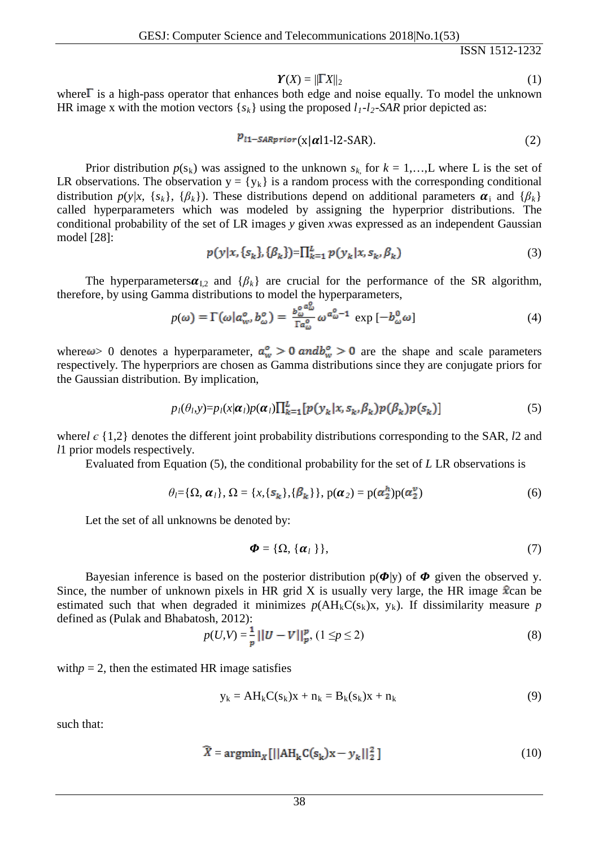$$
\boldsymbol{Y}(X) = \|\Gamma X\|_2 \tag{1}
$$

where  $\Gamma$  is a high-pass operator that enhances both edge and noise equally. To model the unknown HR image x with the motion vectors  $\{s_k\}$  using the proposed  $l_1-l_2$ -SAR prior depicted as:

$$
p_{l1-SARprior}(\mathbf{x}|\alpha|1\text{-}l2\text{-}\mathbf{SAR}).\tag{2}
$$

Prior distribution  $p(s_k)$  was assigned to the unknown  $s_k$  for  $k = 1,...,L$  where L is the set of LR observations. The observation  $y = \{y_k\}$  is a random process with the corresponding conditional distribution  $p(y|x, {s_k}, {β_k})$ . These distributions depend on additional parameters  $\boldsymbol{\alpha}_i$  and  ${β_k}$ called hyperparameters which was modeled by assigning the hyperprior distributions. The conditional probability of the set of LR images *y* given *x*was expressed as an independent Gaussian model [28]:

$$
p(y|x, \{s_k\}, \{\beta_k\}) = \prod_{k=1}^L p(y_k|x, s_k, \beta_k)
$$
\n(3)

The hyperparameters $\alpha_{I,2}$  and  $\{\beta_k\}$  are crucial for the performance of the SR algorithm, therefore, by using Gamma distributions to model the hyperparameters,

$$
p(\omega) = \Gamma(\omega | a_{w}^{\circ}, b_{\omega}^{\circ}) = \frac{b_{\omega}^{\circ} a_{\omega}^{\circ}}{\Gamma a_{\omega}^{\circ}} \omega^{a_{\omega}^{\circ}-1} \exp\left[-b_{\omega}^0 \omega\right] \tag{4}
$$

where  $\omega > 0$  denotes a hyperparameter,  $a_w^{\circ} > 0$  and  $b_w^{\circ} > 0$  are the shape and scale parameters respectively. The hyperpriors are chosen as Gamma distributions since they are conjugate priors for the Gaussian distribution. By implication,

$$
p_l(\theta_l, y) = p_l(x|\alpha_l)p(\alpha_l)\prod_{k=1}^L [p(y_k|x, s_k, \beta_k)p(\beta_k)p(s_k)] \tag{5}
$$

where*l є* {1,2} denotes the different joint probability distributions corresponding to the SAR, *l*2 and *l*1 prior models respectively.

Evaluated from Equation (5), the conditional probability for the set of *L* LR observations is

$$
\theta_l = \{\Omega, \alpha_l\}, \Omega = \{x, \{\mathbf{s}_k\}, \{\beta_k\}\}, \mathbf{p}(\alpha_2) = \mathbf{p}(\alpha_2^h)\mathbf{p}(\alpha_2^v) \tag{6}
$$

Let the set of all unknowns be denoted by:

$$
\boldsymbol{\Phi} = \{\Omega, \{\boldsymbol{\alpha}_l\}\},\tag{7}
$$

Bayesian inference is based on the posterior distribution  $p(\Phi|y)$  of  $\Phi$  given the observed y. Since, the number of unknown pixels in HR grid X is usually very large, the HR image  $\hat{x}$ can be estimated such that when degraded it minimizes  $p(AH_kC(s_k)x, y_k)$ . If dissimilarity measure p defined as (Pulak and Bhabatosh, 2012):

$$
p(U,V) = \frac{1}{p} ||U - V||_p^p, (1 \le p \le 2)
$$
\n(8)

with $p = 2$ , then the estimated HR image satisfies

$$
y_k = AH_kC(s_k)x + n_k = B_k(s_k)x + n_k
$$
\n(9)

such that:

$$
\widehat{X} = \operatorname{argmin}_{X} \left[ \left\| AH_k C(s_k) x - y_k \right\|_2^2 \right] \tag{10}
$$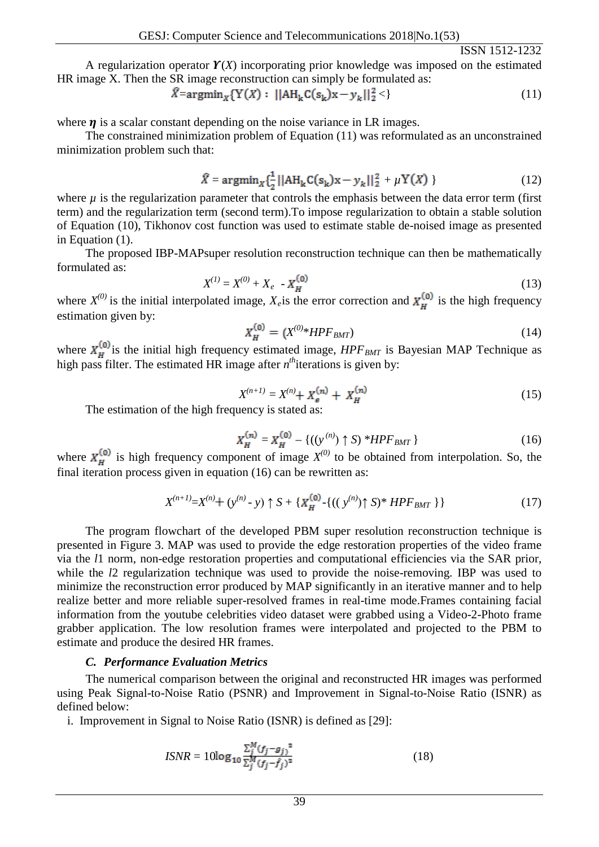A regularization operator  $\mathbf{Y}(X)$  incorporating prior knowledge was imposed on the estimated HR image X. Then the SR image reconstruction can simply be formulated as:

$$
\bar{X} = \operatorname{argmin}_{X} \{ Y(X) : ||AH_k C(s_k)X - y_k||_2^2 < \}
$$
\n(11)

where  $\eta$  is a scalar constant depending on the noise variance in LR images.

The constrained minimization problem of Equation (11) was reformulated as an unconstrained minimization problem such that:

$$
\widehat{X} = \operatorname{argmin}_{X} \{ \frac{1}{2} ||AH_{k}C(s_{k})X - y_{k}||_{2}^{2} + \mu Y(X) \}
$$
 (12)

where  $\mu$  is the regularization parameter that controls the emphasis between the data error term (first term) and the regularization term (second term).To impose regularization to obtain a stable solution of Equation (10), Tikhonov cost function was used to estimate stable de-noised image as presented in Equation (1).

The proposed IBP-MAPsuper resolution reconstruction technique can then be mathematically formulated as:

$$
X^{(1)} = X^{(0)} + X_e - X_H^{(0)}
$$
 (13)

where  $X^{(0)}$  is the initial interpolated image,  $X_e$  is the error correction and  $X_H^{(0)}$  is the high frequency estimation given by:

$$
X_{H}^{(0)} = (X^{(0)} * HPF_{BMT})
$$
\n(14)

where  $\mathbf{X}_{\mathbf{H}}^{\text{top}}$  is the initial high frequency estimated image,  $HPF_{BMT}$  is Bayesian MAP Technique as high pass filter. The estimated HR image after  $n^{th}$  iterations is given by:

$$
X^{(n+1)} = X^{(n)} + X_{\epsilon}^{(n)} + X_H^{(n)}
$$
 (15)

The estimation of the high frequency is stated as:

$$
X_H^{(n)} = X_H^{(0)} - \{((y^{(n)}) \uparrow S)^* HPF_{BMT}\}\tag{16}
$$

where  $\mathbf{X}_{\mathbf{F}}^{(0)}$  is high frequency component of image  $X^{(0)}$  to be obtained from interpolation. So, the final iteration process given in equation (16) can be rewritten as:

$$
X^{(n+1)} = X^{(n)} + (y^{(n)} - y) \uparrow S + \{X_H^{(0)} - \{((y^{(n)}) \uparrow S)^* HPF_{BMT}\}\}\tag{17}
$$

The program flowchart of the developed PBM super resolution reconstruction technique is presented in Figure 3. MAP was used to provide the edge restoration properties of the video frame via the *l*1 norm, non-edge restoration properties and computational efficiencies via the SAR prior, while the *l*2 regularization technique was used to provide the noise-removing. IBP was used to minimize the reconstruction error produced by MAP significantly in an iterative manner and to help realize better and more reliable super-resolved frames in real-time mode.Frames containing facial information from the youtube celebrities video dataset were grabbed using a Video-2-Photo frame grabber application. The low resolution frames were interpolated and projected to the PBM to estimate and produce the desired HR frames.

#### *C. Performance Evaluation Metrics*

The numerical comparison between the original and reconstructed HR images was performed using Peak Signal-to-Noise Ratio (PSNR) and Improvement in Signal-to-Noise Ratio (ISNR) as defined below:

i. Improvement in Signal to Noise Ratio (ISNR) is defined as [29]:

$$
ISNR = 10\log_{10}\frac{\sum_{j}^{M}(f_{j} - g_{j})^{2}}{\sum_{j}^{M}(f_{j} - \hat{f}_{j})^{2}}
$$
(18)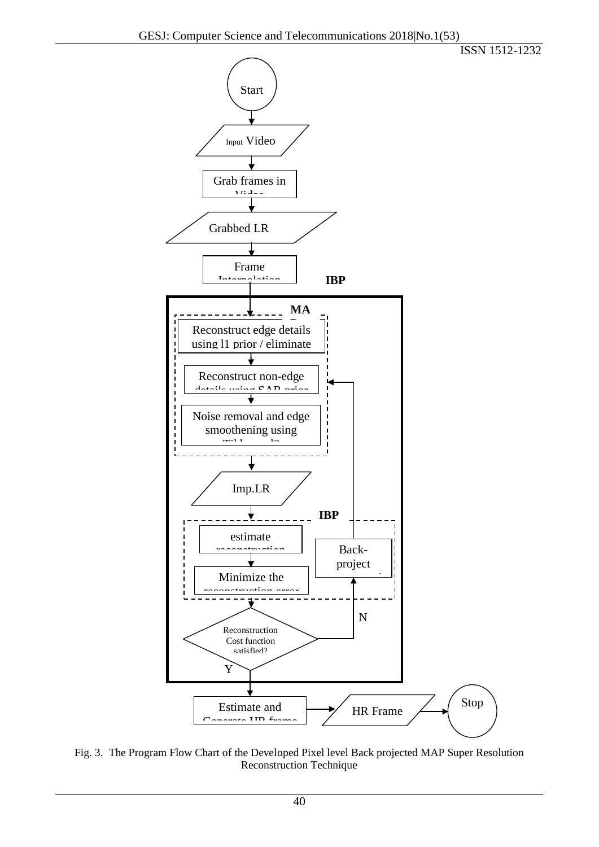Start





Fig. 3. The Program Flow Chart of the Developed Pixel level Back projected MAP Super Resolution Reconstruction Technique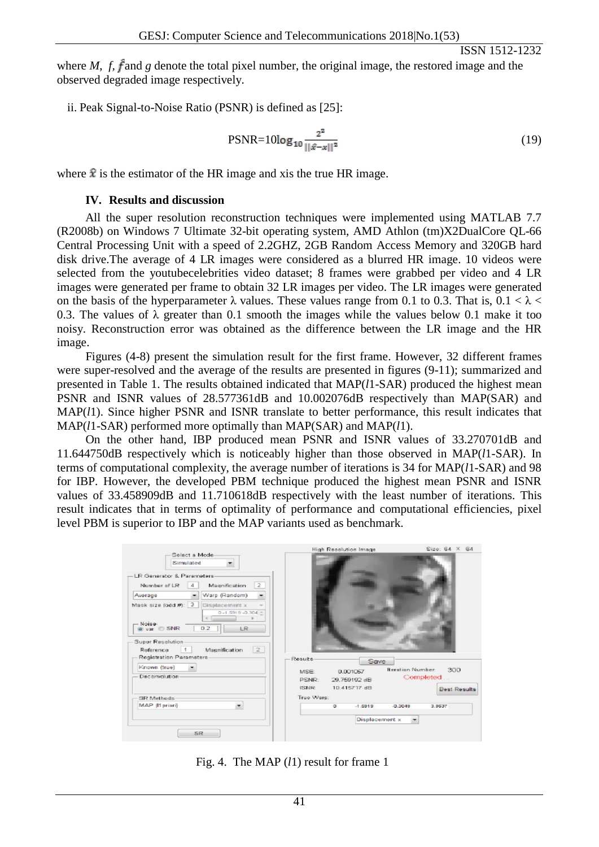where *M*,  $f$ ,  $\hat{f}$  and  $g$  denote the total pixel number, the original image, the restored image and the observed degraded image respectively.

ii. Peak Signal-to-Noise Ratio (PSNR) is defined as [25]:

$$
PSNR = 10\log_{10}\frac{2^2}{\|\hat{x} - x\|^2} \tag{19}
$$

where  $\hat{\mathbf{x}}$  is the estimator of the HR image and xis the true HR image.

## **IV. Results and discussion**

All the super resolution reconstruction techniques were implemented using MATLAB 7.7 (R2008b) on Windows 7 Ultimate 32-bit operating system, AMD Athlon (tm)X2DualCore QL-66 Central Processing Unit with a speed of 2.2GHZ, 2GB Random Access Memory and 320GB hard disk drive.The average of 4 LR images were considered as a blurred HR image. 10 videos were selected from the youtubecelebrities video dataset; 8 frames were grabbed per video and 4 LR images were generated per frame to obtain 32 LR images per video. The LR images were generated on the basis of the hyperparameter  $\lambda$  values. These values range from 0.1 to 0.3. That is, 0.1 <  $\lambda$  < 0.3. The values of  $\lambda$  greater than 0.1 smooth the images while the values below 0.1 make it too noisy. Reconstruction error was obtained as the difference between the LR image and the HR image.

Figures (4-8) present the simulation result for the first frame. However, 32 different frames were super-resolved and the average of the results are presented in figures (9-11); summarized and presented in Table 1. The results obtained indicated that MAP(*l*1-SAR) produced the highest mean PSNR and ISNR values of 28.577361dB and 10.002076dB respectively than MAP(SAR) and MAP(*l*1). Since higher PSNR and ISNR translate to better performance, this result indicates that MAP(*l*1-SAR) performed more optimally than MAP(SAR) and MAP(*l*1).

On the other hand, IBP produced mean PSNR and ISNR values of 33.270701dB and 11.644750dB respectively which is noticeably higher than those observed in MAP(*l*1-SAR). In terms of computational complexity, the average number of iterations is 34 for MAP(*l*1-SAR) and 98 for IBP. However, the developed PBM technique produced the highest mean PSNR and ISNR values of 33.458909dB and 11.710618dB respectively with the least number of iterations. This result indicates that in terms of optimality of performance and computational efficiencies, pixel level PBM is superior to IBP and the MAP variants used as benchmark.

| Select a Mode-<br>Simulated<br>۰                                                                                   | Size: 64 X 64<br>High Resolution Image                                                   |
|--------------------------------------------------------------------------------------------------------------------|------------------------------------------------------------------------------------------|
| LR Generator & Parameters-<br>$\overline{2}$<br>Number of LR<br>Magnification<br>a                                 |                                                                                          |
| Warp (Random)<br>Average                                                                                           |                                                                                          |
| Mask size food #): 3<br>Displacement x<br>$-1.5919 - 0.304 -$<br>$\leftarrow$<br>- Noise-<br>LR.<br>D.2<br>war SNR |                                                                                          |
| Super Resolution<br>$\sqrt{2}$<br>Magnification<br>Reference<br>Registration Parameters                            | Results<br>Save                                                                          |
| Known (true)                                                                                                       | <b>Iteration Number:</b><br>300<br>MSE:<br>0.001057                                      |
| Decemolution-                                                                                                      | Completed<br>29,759192 dB<br>PSNR:<br>10.415717 d日<br><b>ISNR</b><br><b>Best Results</b> |
| SR Methods                                                                                                         | True Warp:                                                                               |
| MAP [11 priori]                                                                                                    | $-1.5919$<br>$-0.3049$<br>3.9537<br>o                                                    |
|                                                                                                                    | Displacement x                                                                           |
| SR.                                                                                                                |                                                                                          |

Fig. 4. The MAP (*l*1) result for frame 1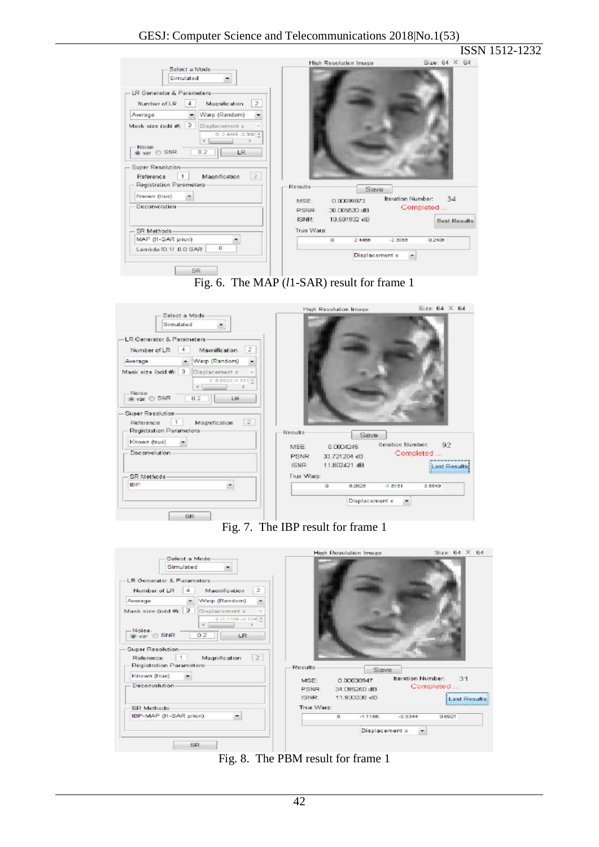|                                                                                                                                                                        |                                                                                                 |                                                                                        |                                            |                                        | ISSN 1512-1232 |
|------------------------------------------------------------------------------------------------------------------------------------------------------------------------|-------------------------------------------------------------------------------------------------|----------------------------------------------------------------------------------------|--------------------------------------------|----------------------------------------|----------------|
| Select a Mode<br>Simulated                                                                                                                                             |                                                                                                 | <b>High Resolution Image</b>                                                           |                                            | Size: 64 X 64                          |                |
| LR Generator & Parameters-<br>Number of LR                                                                                                                             | $\overline{2}$<br>Magnification                                                                 |                                                                                        |                                            |                                        |                |
| Average                                                                                                                                                                | Warp (Random)                                                                                   |                                                                                        |                                            |                                        |                |
| Mask size (add $#$ ): $3$<br>Noise-<br>@ var C SNR<br>Super Resolution-<br>Reference<br>$\mathbf{1}$<br>Registration Parameters<br>Known (true)<br>۰<br>Deconvolution- | Displacement x<br>$0.24488 - 2.308$ *<br>$\epsilon$<br>0.2<br><b>LR</b><br> 2 <br>Magnification | <b>Results</b><br>0.00099873<br>MSE:<br>PSNR:<br>30,005620 dB<br>ISNR:<br>10.501932 dB | Save<br>Iteration Number:                  | 34<br>Completed<br><b>Best Results</b> |                |
| SR Methods-<br>MAP (I1-SAR priori)                                                                                                                                     |                                                                                                 | True Ware:<br>$\overline{0}$                                                           | $-2.3068$<br>2.4466                        | 0.2406                                 |                |
| Lambda IO.11 0.0 SAR                                                                                                                                                   | o                                                                                               |                                                                                        | Displacement x<br>$\overline{\phantom{a}}$ |                                        |                |
| SR.                                                                                                                                                                    |                                                                                                 |                                                                                        |                                            |                                        |                |



| Select a Mode<br>Simulated<br>LR Generator & Parameters-<br>$\overline{z}$<br>Macnification<br>Number of LR                | High Resolution Image                                                                        | Size: $64 \times 64$                                  |
|----------------------------------------------------------------------------------------------------------------------------|----------------------------------------------------------------------------------------------|-------------------------------------------------------|
| Warp (Random)<br>Awerage<br>Mask size fodd #: 3 Displacement x<br>$0.80825 - 1.515$ *<br>Noise<br>o var C SNR<br>0.2<br>LR |                                                                                              |                                                       |
| Super Resolution<br>$\sqrt{2}$<br>Reference<br>Magnification<br>Registration Parameters<br>Known (true)<br>Deconvolution   | Results<br>Save<br>0.0004245<br>MSE:<br>33.721204 dE<br><b>PSNR</b><br>11,802421 dB<br>ISNR: | Iteration Number:<br>92<br>Completed<br>Last Results: |
| SR Methods-<br><b>IBP</b><br>SR                                                                                            | True Warp:<br>8.0825<br>o<br>Displacement x                                                  | $-1,5151$<br>3.6649                                   |
|                                                                                                                            | Fig. 7. The IBP result for frame 1<br><b>High Resolution Image</b>                           | Size: 64 X 64                                         |

| Select a Mode<br>Simulated                |                                                      |            |                           |                   |                     |
|-------------------------------------------|------------------------------------------------------|------------|---------------------------|-------------------|---------------------|
| LR Generator & Parameters<br>Number of LR | $\overline{z}$<br>Magnification                      |            |                           |                   |                     |
| Awerage                                   | Warp (Random)                                        |            |                           |                   |                     |
| Mask size (odd #): 3                      | Displacement x<br>$0.1.1166 - 0.534$ *<br>$\epsilon$ |            |                           |                   |                     |
| -Noise-<br>war & SNR                      | 0.2<br>LR.                                           |            |                           |                   |                     |
| Super Resolution-<br>Reference            | 2<br>Magnification                                   |            |                           |                   |                     |
| Registration Parameters                   |                                                      | Results    | Save                      |                   |                     |
| Known (true)                              |                                                      | MSE:       | 0.00030947                | Iteration Number: | 31                  |
| Deconvolution-                            |                                                      | PSNR:      | 34.095250 dB              |                   | Completed           |
|                                           |                                                      | ISNR:      | 11,933336 dB              |                   | <b>Last Results</b> |
| SR Methods                                |                                                      | True Warp: |                           |                   |                     |
| IBP-MAP (I1-SAR priori)                   |                                                      |            | $-1.1166$<br>$\mathbf{D}$ | $-0.5344$         | 0.6921              |
|                                           |                                                      |            | Displacement x            | $\cdot$           |                     |
|                                           | <b>SR</b>                                            |            |                           |                   |                     |

Fig. 8. The PBM result for frame 1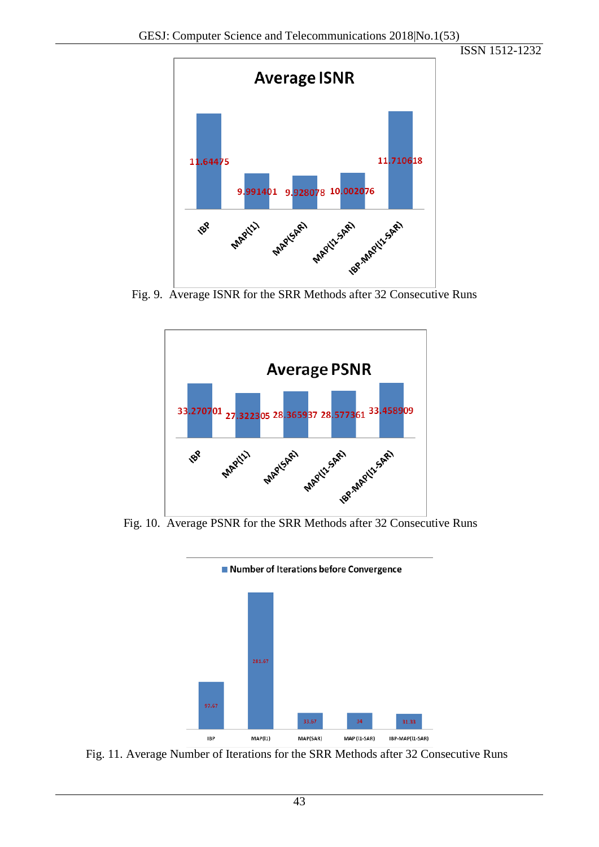

Fig. 9. Average ISNR for the SRR Methods after 32 Consecutive Runs



Fig. 10. Average PSNR for the SRR Methods after 32 Consecutive Runs



Number of Iterations before Convergence

<sup>IBP</sup> MAP(I1) MAP(SAR) MAP(I1-SAR) IBP-MAP(I1-SAR)<br>Fig. 11. Average Number of Iterations for the SRR Methods after 32 Consecutive Runs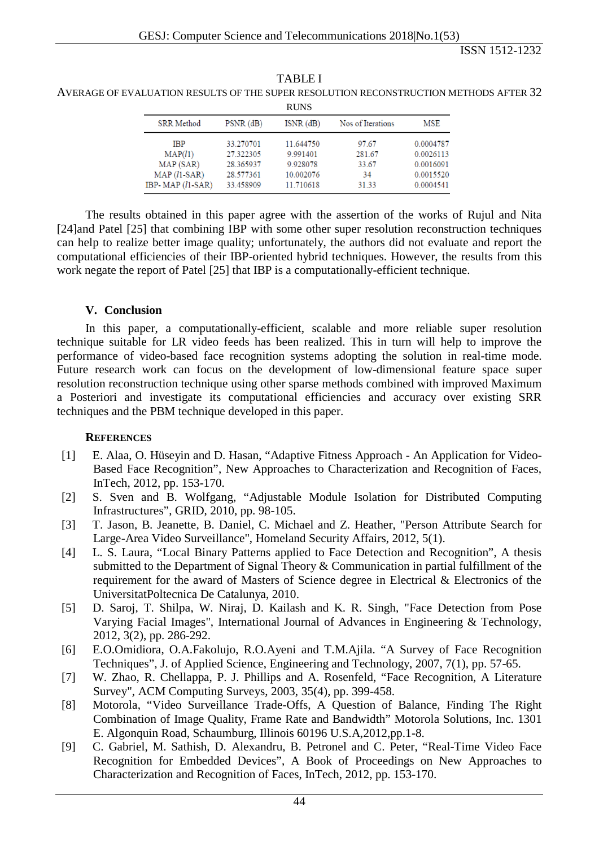| <b>RUNS</b>        |             |               |                   |           |
|--------------------|-------------|---------------|-------------------|-----------|
| <b>SRR</b> Method  | $PSNR$ (dB) | $ISNR$ $(dB)$ | Nos of Iterations | MSE       |
| <b>IBP</b>         | 33.270701   | 11.644750     | 97.67             | 0.0004787 |
| MAP(l1)            | 27.322305   | 9.991401      | 281.67            | 0.0026113 |
| MAP (SAR)          | 28.365937   | 9.928078      | 33.67             | 0.0016091 |
| $MAP (1-SAR)$      | 28.577361   | 10.002076     | 34                | 0.0015520 |
| IBP-MAP $(l1-SAR)$ | 33.458909   | 11.710618     | 31.33             | 0.0004541 |

TABLE I AVERAGE OF EVALUATION RESULTS OF THE SUPER RESOLUTION RECONSTRUCTION METHODS AFTER 32

The results obtained in this paper agree with the assertion of the works of Rujul and Nita [24]and Patel [25] that combining IBP with some other super resolution reconstruction techniques can help to realize better image quality; unfortunately, the authors did not evaluate and report the computational efficiencies of their IBP-oriented hybrid techniques. However, the results from this work negate the report of Patel [25] that IBP is a computationally-efficient technique.

#### **V. Conclusion**

In this paper, a computationally-efficient, scalable and more reliable super resolution technique suitable for LR video feeds has been realized. This in turn will help to improve the performance of video-based face recognition systems adopting the solution in real-time mode. Future research work can focus on the development of low-dimensional feature space super resolution reconstruction technique using other sparse methods combined with improved Maximum a Posteriori and investigate its computational efficiencies and accuracy over existing SRR techniques and the PBM technique developed in this paper.

### **REFERENCES**

- [1] E. Alaa, O. Hüseyin and D. Hasan, "Adaptive Fitness Approach An Application for Video-Based Face Recognition", New Approaches to Characterization and Recognition of Faces, InTech, 2012, pp. 153-170.
- [2] S. Sven and B. Wolfgang, "Adjustable Module Isolation for Distributed Computing Infrastructures", GRID, 2010, pp. 98-105.
- [3] T. Jason, B. Jeanette, B. Daniel, C. Michael and Z. Heather, "Person Attribute Search for Large-Area Video Surveillance", Homeland Security Affairs, 2012, 5(1).
- [4] L. S. Laura, "Local Binary Patterns applied to Face Detection and Recognition", A thesis submitted to the Department of Signal Theory & Communication in partial fulfillment of the requirement for the award of Masters of Science degree in Electrical & Electronics of the UniversitatPoltecnica De Catalunya, 2010.
- [5] D. Saroj, T. Shilpa, W. Niraj, D. Kailash and K. R. Singh, "Face Detection from Pose Varying Facial Images", International Journal of Advances in Engineering & Technology, 2012, 3(2), pp. 286-292.
- [6] E.O.Omidiora, O.A.Fakolujo, R.O.Ayeni and T.M.Ajila. "A Survey of Face Recognition Techniques", J. of Applied Science, Engineering and Technology, 2007, 7(1), pp. 57-65.
- [7] W. Zhao, R. Chellappa, P. J. Phillips and A. Rosenfeld, "Face Recognition, A Literature Survey", ACM Computing Surveys, 2003, 35(4), pp. 399-458.
- [8] Motorola, "Video Surveillance Trade-Offs, A Question of Balance, Finding The Right Combination of Image Quality, Frame Rate and Bandwidth" Motorola Solutions, Inc. 1301 E. Algonquin Road, Schaumburg, Illinois 60196 U.S.A,2012,pp.1-8.
- [9] C. Gabriel, M. Sathish, D. Alexandru, B. Petronel and C. Peter, "Real-Time Video Face Recognition for Embedded Devices", A Book of Proceedings on New Approaches to Characterization and Recognition of Faces, InTech, 2012, pp. 153-170.